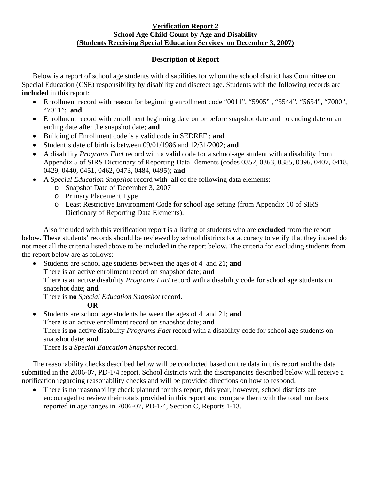## **Verification Report 2 School Age Child Count by Age and Disability (Students Receiving Special Education Services on December 3, 2007)**

## **Description of Report**

Below is a report of school age students with disabilities for whom the school district has Committee on Special Education (CSE) responsibility by disability and discreet age. Students with the following records are **included** in this report:

- Enrollment record with reason for beginning enrollment code "0011", "5905", "5544", "5654", "7000", "7011"; **and**
- Enrollment record with enrollment beginning date on or before snapshot date and no ending date or an ending date after the snapshot date; **and**
- Building of Enrollment code is a valid code in SEDREF ; **and**
- Student's date of birth is between 09/01/1986 and 12/31/2002; **and**
- A disability *Programs Fact* record with a valid code for a school-age student with a disability from Appendix 5 of SIRS Dictionary of Reporting Data Elements (codes 0352, 0363, 0385, 0396, 0407, 0418, 0429, 0440, 0451, 0462, 0473, 0484, 0495); **and**
- A *Special Education Snapshot* record with all of the following data elements:
	- o Snapshot Date of December 3, 2007
	- o Primary Placement Type
	- o Least Restrictive Environment Code for school age setting (from Appendix 10 of SIRS Dictionary of Reporting Data Elements).

Also included with this verification report is a listing of students who are **excluded** from the report below. These students' records should be reviewed by school districts for accuracy to verify that they indeed do not meet all the criteria listed above to be included in the report below. The criteria for excluding students from the report below are as follows:

- Students are school age students between the ages of 4 and 21; **and** 
	- There is an active enrollment record on snapshot date; **and**

There is an active disability *Programs Fact* record with a disability code for school age students on snapshot date; **and** 

There is **no** *Special Education Snapshot* record.

## **OR**

• Students are school age students between the ages of 4 and 21; **and** There is an active enrollment record on snapshot date; **and** There is **no** active disability *Programs Fact* record with a disability code for school age students on snapshot date; **and**  There is a *Special Education Snapshot* record.

The reasonability checks described below will be conducted based on the data in this report and the data submitted in the 2006-07, PD-1/4 report. School districts with the discrepancies described below will receive a notification regarding reasonability checks and will be provided directions on how to respond.

There is no reasonability check planned for this report, this year, however, school districts are encouraged to review their totals provided in this report and compare them with the total numbers reported in age ranges in 2006-07, PD-1/4, Section C, Reports 1-13.